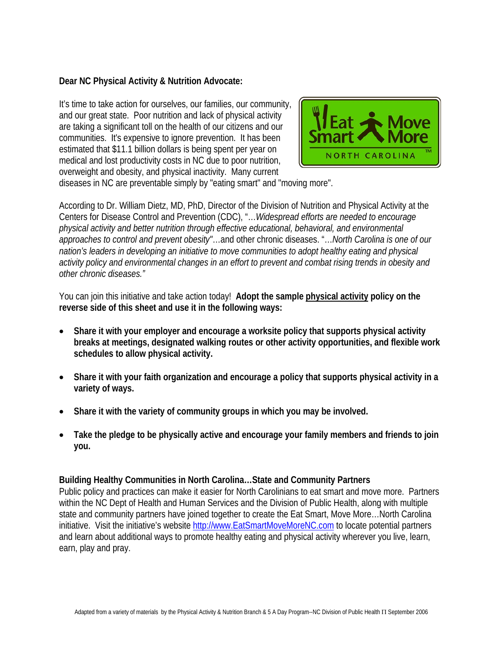#### **Dear NC Physical Activity & Nutrition Advocate:**

It's time to take action for ourselves, our families, our community, and our great state. Poor nutrition and lack of physical activity are taking a significant toll on the health of our citizens and our communities. It's expensive to ignore prevention. It has been estimated that \$11.1 billion dollars is being spent per year on medical and lost productivity costs in NC due to poor nutrition, overweight and obesity, and physical inactivity. Many current



diseases in NC are preventable simply by "eating smart" and "moving more".

According to Dr. William Dietz, MD, PhD, Director of the Division of Nutrition and Physical Activity at the Centers for Disease Control and Prevention (CDC), "…*Widespread efforts are needed to encourage physical activity and better nutrition through effective educational, behavioral, and environmental approaches to control and prevent obesity"*…and other chronic diseases. "…*North Carolina is one of our nation's leaders in developing an initiative to move communities to adopt healthy eating and physical activity policy and environmental changes in an effort to prevent and combat rising trends in obesity and other chronic diseases."* 

You can join this initiative and take action today! **Adopt the sample physical activity policy on the reverse side of this sheet and use it in the following ways:**

- **Share it with your employer and encourage a worksite policy that supports physical activity breaks at meetings, designated walking routes or other activity opportunities, and flexible work schedules to allow physical activity.**
- **Share it with your faith organization and encourage a policy that supports physical activity in a variety of ways.**
- **Share it with the variety of community groups in which you may be involved.**
- **Take the pledge to be physically active and encourage your family members and friends to join you.**

#### **Building Healthy Communities in North Carolina…State and Community Partners**

Public policy and practices can make it easier for North Carolinians to eat smart and move more. Partners within the NC Dept of Health and Human Services and the Division of Public Health, along with multiple state and community partners have joined together to create the Eat Smart, Move More…North Carolina initiative. Visit the initiative's website [http://www.EatSmartMoveMoreNC.com](http://www.eatsmartmovemorenc.com/) to locate potential partners and learn about additional ways to promote healthy eating and physical activity wherever you live, learn, earn, play and pray.